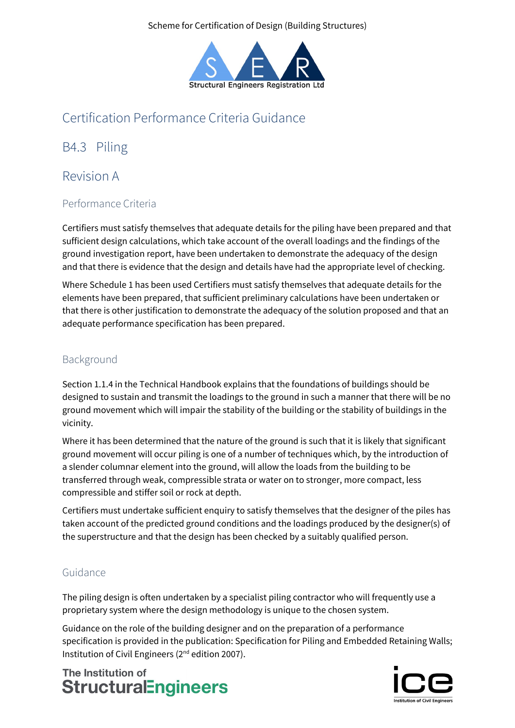

# Certification Performance Criteria Guidance

B4.3 Piling

## Revision A

## Performance Criteria

Certifiers must satisfy themselves that adequate details for the piling have been prepared and that sufficient design calculations, which take account of the overall loadings and the findings of the ground investigation report, have been undertaken to demonstrate the adequacy of the design and that there is evidence that the design and details have had the appropriate level of checking.

Where Schedule 1 has been used Certifiers must satisfy themselves that adequate details for the elements have been prepared, that sufficient preliminary calculations have been undertaken or that there is other justification to demonstrate the adequacy of the solution proposed and that an adequate performance specification has been prepared.

### Background

Section 1.1.4 in the Technical Handbook explains that the foundations of buildings should be designed to sustain and transmit the loadings to the ground in such a manner that there will be no ground movement which will impair the stability of the building or the stability of buildings in the vicinity.

Where it has been determined that the nature of the ground is such that it is likely that significant ground movement will occur piling is one of a number of techniques which, by the introduction of a slender columnar element into the ground, will allow the loads from the building to be transferred through weak, compressible strata or water on to stronger, more compact, less compressible and stiffer soil or rock at depth.

Certifiers must undertake sufficient enquiry to satisfy themselves that the designer of the piles has taken account of the predicted ground conditions and the loadings produced by the designer(s) of the superstructure and that the design has been checked by a suitably qualified person.

### Guidance

The piling design is often undertaken by a specialist piling contractor who will frequently use a proprietary system where the design methodology is unique to the chosen system.

Guidance on the role of the building designer and on the preparation of a performance specification is provided in the publication: Specification for Piling and Embedded Retaining Walls; Institution of Civil Engineers (2nd edition 2007).

The Institution of **StructuralEngineers** 

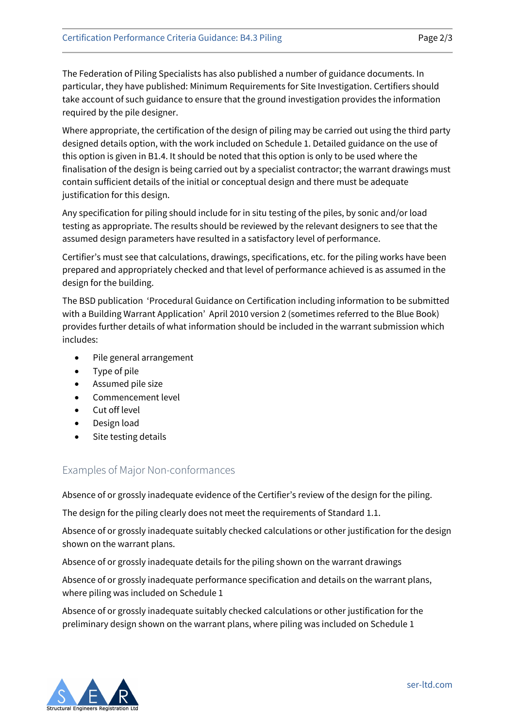The Federation of Piling Specialists has also published a number of guidance documents. In particular, they have published: Minimum Requirements for Site Investigation. Certifiers should take account of such guidance to ensure that the ground investigation provides the information required by the pile designer.

Where appropriate, the certification of the design of piling may be carried out using the third party designed details option, with the work included on Schedule 1. Detailed guidance on the use of this option is given in B1.4. It should be noted that this option is only to be used where the finalisation of the design is being carried out by a specialist contractor; the warrant drawings must contain sufficient details of the initial or conceptual design and there must be adequate justification for this design.

Any specification for piling should include for in situ testing of the piles, by sonic and/or load testing as appropriate. The results should be reviewed by the relevant designers to see that the assumed design parameters have resulted in a satisfactory level of performance.

Certifier's must see that calculations, drawings, specifications, etc. for the piling works have been prepared and appropriately checked and that level of performance achieved is as assumed in the design for the building.

The BSD publication 'Procedural Guidance on Certification including information to be submitted with a Building Warrant Application' April 2010 version 2 (sometimes referred to the Blue Book) provides further details of what information should be included in the warrant submission which includes:

- Pile general arrangement
- Type of pile
- Assumed pile size
- Commencement level
- Cut off level
- Design load
- Site testing details

#### Examples of Major Non-conformances

Absence of or grossly inadequate evidence of the Certifier's review of the design for the piling.

The design for the piling clearly does not meet the requirements of Standard 1.1.

Absence of or grossly inadequate suitably checked calculations or other justification for the design shown on the warrant plans.

Absence of or grossly inadequate details for the piling shown on the warrant drawings

Absence of or grossly inadequate performance specification and details on the warrant plans, where piling was included on Schedule 1

Absence of or grossly inadequate suitably checked calculations or other justification for the preliminary design shown on the warrant plans, where piling was included on Schedule 1